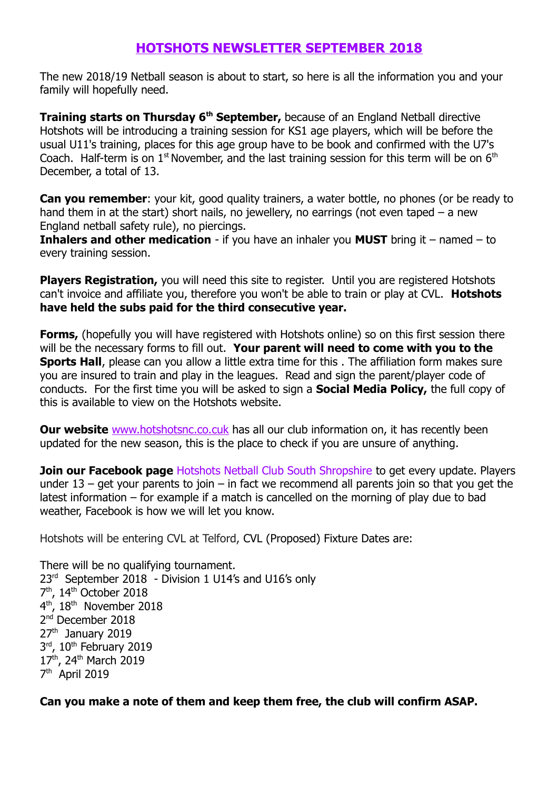### **HOTSHOTS NEWSLETTER SEPTEMBER 2018**

The new 2018/19 Netball season is about to start, so here is all the information you and your family will hopefully need.

**Training starts on Thursday 6<sup>th</sup> September,** because of an England Netball directive Hotshots will be introducing a training session for KS1 age players, which will be before the usual U11's training, places for this age group have to be book and confirmed with the U7's Coach. Half-term is on  $1<sup>st</sup>$  November, and the last training session for this term will be on  $6<sup>th</sup>$ December, a total of 13.

**Can you remember:** your kit, good quality trainers, a water bottle, no phones (or be ready to hand them in at the start) short nails, no jewellery, no earrings (not even taped  $-$  a new England netball safety rule), no piercings.

**Inhalers and other medication** - if you have an inhaler you **MUST** bring it – named – to every training session.

**Players Registration,** you will need this site to register. Until you are registered Hotshots can't invoice and affiliate you, therefore you won't be able to train or play at CVL. **Hotshots have held the subs paid for the third consecutive year.**

**Forms,** (hopefully you will have registered with Hotshots online) so on this first session there will be the necessary forms to fill out. **Your parent will need to come with you to the Sports Hall**, please can you allow a little extra time for this . The affiliation form makes sure you are insured to train and play in the leagues. Read and sign the parent/player code of conducts. For the first time you will be asked to sign a **Social Media Policy,** the full copy of this is available to view on the Hotshots website.

**Our website** [www.hotshotsnc.co.cuk](http://www.hotshotsnc.co.cuk/) has all our club information on, it has recently been updated for the new season, this is the place to check if you are unsure of anything.

**Join our Facebook page** Hotshots Netball Club South Shropshire to get every update. Players under 13 – get your parents to join – in fact we recommend all parents join so that you get the latest information – for example if a match is cancelled on the morning of play due to bad weather, Facebook is how we will let you know.

Hotshots will be entering CVL at Telford, CVL (Proposed) Fixture Dates are:

There will be no qualifying tournament. 23<sup>rd</sup> September 2018 - Division 1 U14's and U16's only 7<sup>th</sup>, 14<sup>th</sup> October 2018 4<sup>th</sup>, 18<sup>th</sup> November 2018 2<sup>nd</sup> December 2018 27<sup>th</sup> January 2019 3<sup>rd</sup>, 10<sup>th</sup> February 2019 17<sup>th</sup>, 24<sup>th</sup> March 2019 7<sup>th</sup> April 2019

**Can you make a note of them and keep them free, the club will confirm ASAP.**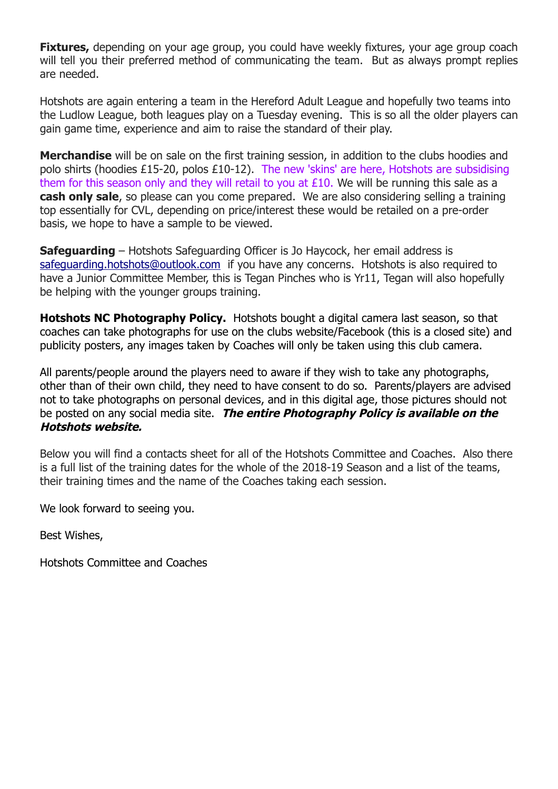**Fixtures,** depending on your age group, you could have weekly fixtures, your age group coach will tell you their preferred method of communicating the team. But as always prompt replies are needed.

Hotshots are again entering a team in the Hereford Adult League and hopefully two teams into the Ludlow League, both leagues play on a Tuesday evening. This is so all the older players can gain game time, experience and aim to raise the standard of their play.

**Merchandise** will be on sale on the first training session, in addition to the clubs hoodies and polo shirts (hoodies £15-20, polos £10-12). The new 'skins' are here, Hotshots are subsidising them for this season only and they will retail to you at  $£10$ . We will be running this sale as a **cash only sale**, so please can you come prepared. We are also considering selling a training top essentially for CVL, depending on price/interest these would be retailed on a pre-order basis, we hope to have a sample to be viewed.

**Safeguarding** – Hotshots Safeguarding Officer is Jo Haycock, her email address is [safeguarding.hotshots@outlook.com](mailto:safeguarding.hotshots@outlook.com) if you have any concerns. Hotshots is also required to have a Junior Committee Member, this is Tegan Pinches who is Yr11, Tegan will also hopefully be helping with the younger groups training.

**Hotshots NC Photography Policy.** Hotshots bought a digital camera last season, so that coaches can take photographs for use on the clubs website/Facebook (this is a closed site) and publicity posters, any images taken by Coaches will only be taken using this club camera.

All parents/people around the players need to aware if they wish to take any photographs, other than of their own child, they need to have consent to do so. Parents/players are advised not to take photographs on personal devices, and in this digital age, those pictures should not be posted on any social media site. **The entire Photography Policy is available on the Hotshots website.**

Below you will find a contacts sheet for all of the Hotshots Committee and Coaches. Also there is a full list of the training dates for the whole of the 2018-19 Season and a list of the teams, their training times and the name of the Coaches taking each session.

We look forward to seeing you.

Best Wishes,

Hotshots Committee and Coaches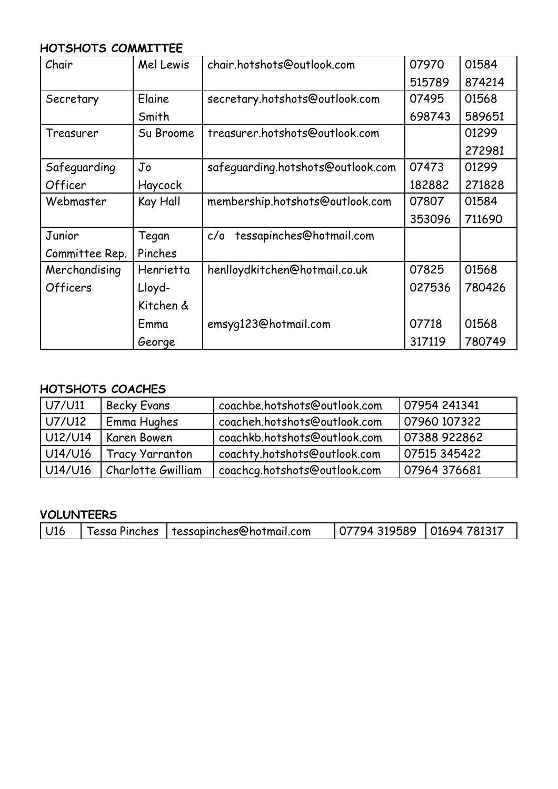### **HOTSHOTS COMMITTEE**

| Chair          | Mel Lewis | chair.hotshots@outlook.com        | 07970  | 01584  |
|----------------|-----------|-----------------------------------|--------|--------|
|                |           |                                   | 515789 | 874214 |
| Secretary      | Elaine    | secretary.hotshots@outlook.com    | 07495  | 01568  |
|                | Smith     |                                   | 698743 | 589651 |
| Treasurer      | Su Broome | treasurer.hotshots@outlook.com    |        | 01299  |
|                |           |                                   |        | 272981 |
| Safeguarding   | Jo        | safeguarding.hotshots@outlook.com | 07473  | 01299  |
| Officer        | Haycock   |                                   | 182882 | 271828 |
| Webmaster      | Kay Hall  | membership.hotshots@outlook.com   | 07807  | 01584  |
|                |           |                                   | 353096 | 711690 |
| Junior         | Tegan     | tessapinches@hotmail.com<br>c/o   |        |        |
| Committee Rep. | Pinches   |                                   |        |        |
| Merchandising  | Henrietta | henlloydkitchen@hotmail.co.uk     | 07825  | 01568  |
| Officers       | Lloyd-    |                                   | 027536 | 780426 |
|                | Kitchen & |                                   |        |        |
|                | Emma      | emsyq123@hotmail.com              | 07718  | 01568  |
|                | George    |                                   | 317119 | 780749 |

## **HOTSHOTS COACHES**

| U7/U11  | <b>Becky Evans</b>     | coachbe.hotshots@outlook.com | 07954 241341 |
|---------|------------------------|------------------------------|--------------|
| U7/U12  | Emma Hughes            | coacheh.hotshots@outlook.com | 07960 107322 |
| U12/U14 | Karen Bowen            | coachkb.hotshots@outlook.com | 07388 922862 |
| U14/U16 | <b>Tracy Yarranton</b> | coachty.hotshots@outlook.com | 07515 345422 |
| U14/U16 | Charlotte Gwilliam     | coachcg.hotshots@outlook.com | 07964 376681 |

#### **VOLUNTEERS**

| Tessa Pinches   tessapinches@hotmail.com<br>$\vert$ 07794 319589 $\vert$ 01694 781317<br>  U16 |
|------------------------------------------------------------------------------------------------|
|------------------------------------------------------------------------------------------------|